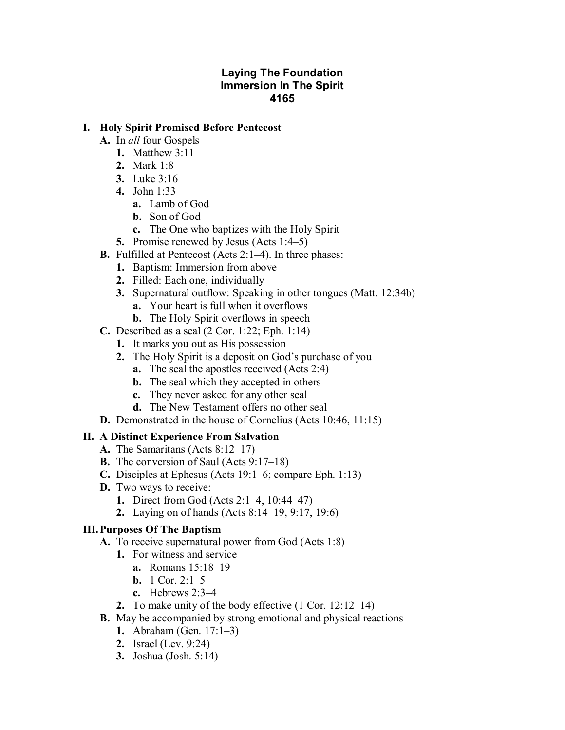## **Laying The Foundation Immersion In The Spirit 4165**

### **I. Holy Spirit Promised Before Pentecost**

- **A.** In *all* four Gospels
	- **1.** Matthew 3:11
	- **2.** Mark 1:8
	- **3.** Luke 3:16
	- **4.** John 1:33
		- **a.** Lamb of God
		- **b.** Son of God
		- **c.** The One who baptizes with the Holy Spirit
	- **5.** Promise renewed by Jesus (Acts 1:4–5)
- **B.** Fulfilled at Pentecost (Acts 2:1–4). In three phases:
	- **1.** Baptism: Immersion from above
	- **2.** Filled: Each one, individually
	- **3.** Supernatural outflow: Speaking in other tongues (Matt. 12:34b)
		- **a.** Your heart is full when it overflows
		- **b.** The Holy Spirit overflows in speech
- **C.** Described as a seal (2 Cor. 1:22; Eph. 1:14)
	- **1.** It marks you out as His possession
	- **2.** The Holy Spirit is a deposit on God's purchase of you
		- **a.** The seal the apostles received (Acts 2:4)
		- **b.** The seal which they accepted in others
		- **c.** They never asked for any other seal
		- **d.** The New Testament offers no other seal
- **D.** Demonstrated in the house of Cornelius (Acts 10:46, 11:15)

## **II. A Distinct Experience From Salvation**

- **A.** The Samaritans (Acts 8:12–17)
- **B.** The conversion of Saul (Acts 9:17–18)
- **C.** Disciples at Ephesus (Acts 19:1–6; compare Eph. 1:13)
- **D.** Two ways to receive:
	- **1.** Direct from God (Acts 2:1–4, 10:44–47)
	- **2.** Laying on of hands (Acts 8:14–19, 9:17, 19:6)

# **III.Purposes Of The Baptism**

- **A.** To receive supernatural power from God (Acts 1:8)
	- **1.** For witness and service
		- **a.** Romans 15:18–19
		- **b.** 1 Cor. 2:1–5
		- **c.** Hebrews 2:3–4
	- **2.** To make unity of the body effective (1 Cor. 12:12–14)
- **B.** May be accompanied by strong emotional and physical reactions
	- **1.** Abraham (Gen. 17:1–3)
	- **2.** Israel (Lev. 9:24)
	- **3.** Joshua (Josh. 5:14)